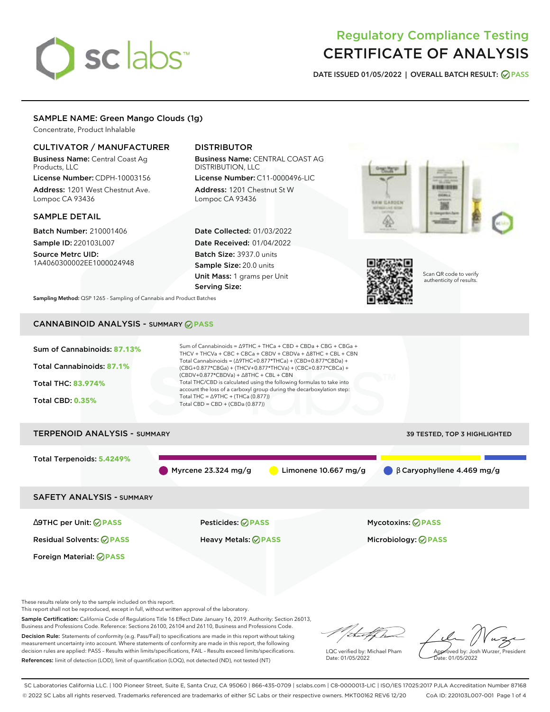# sclabs<sup>\*</sup>

# Regulatory Compliance Testing CERTIFICATE OF ANALYSIS

**DATE ISSUED 01/05/2022 | OVERALL BATCH RESULT: PASS**

# SAMPLE NAME: Green Mango Clouds (1g)

Concentrate, Product Inhalable

# CULTIVATOR / MANUFACTURER

Business Name: Central Coast Ag Products, LLC

License Number: CDPH-10003156 Address: 1201 West Chestnut Ave. Lompoc CA 93436

# SAMPLE DETAIL

Batch Number: 210001406 Sample ID: 220103L007

Source Metrc UID: 1A4060300002EE1000024948

# DISTRIBUTOR

Business Name: CENTRAL COAST AG DISTRIBUTION, LLC

License Number: C11-0000496-LIC Address: 1201 Chestnut St W Lompoc CA 93436

Date Collected: 01/03/2022 Date Received: 01/04/2022 Batch Size: 3937.0 units Sample Size: 20.0 units Unit Mass: 1 grams per Unit Serving Size:





Scan QR code to verify authenticity of results.

**Sampling Method:** QSP 1265 - Sampling of Cannabis and Product Batches

# CANNABINOID ANALYSIS - SUMMARY **PASS**



These results relate only to the sample included on this report.

This report shall not be reproduced, except in full, without written approval of the laboratory.

Sample Certification: California Code of Regulations Title 16 Effect Date January 16, 2019. Authority: Section 26013, Business and Professions Code. Reference: Sections 26100, 26104 and 26110, Business and Professions Code.

Decision Rule: Statements of conformity (e.g. Pass/Fail) to specifications are made in this report without taking measurement uncertainty into account. Where statements of conformity are made in this report, the following decision rules are applied: PASS – Results within limits/specifications, FAIL – Results exceed limits/specifications. References: limit of detection (LOD), limit of quantification (LOQ), not detected (ND), not tested (NT)

that f h

LQC verified by: Michael Pham Date: 01/05/2022

Approved by: Josh Wurzer, President ate: 01/05/2022

SC Laboratories California LLC. | 100 Pioneer Street, Suite E, Santa Cruz, CA 95060 | 866-435-0709 | sclabs.com | C8-0000013-LIC | ISO/IES 17025:2017 PJLA Accreditation Number 87168 © 2022 SC Labs all rights reserved. Trademarks referenced are trademarks of either SC Labs or their respective owners. MKT00162 REV6 12/20 CoA ID: 220103L007-001 Page 1 of 4